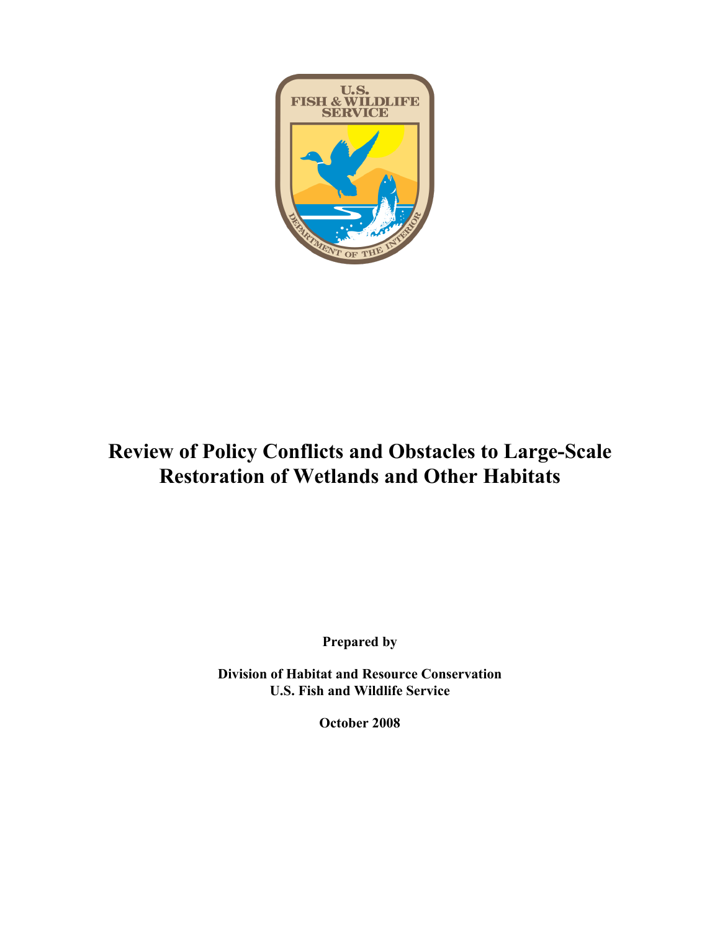

# **Review of Policy Conflicts and Obstacles to Large-Scale Restoration of Wetlands and Other Habitats**

**Prepared by**

**Division of Habitat and Resource Conservation U.S. Fish and Wildlife Service**

**October 2008**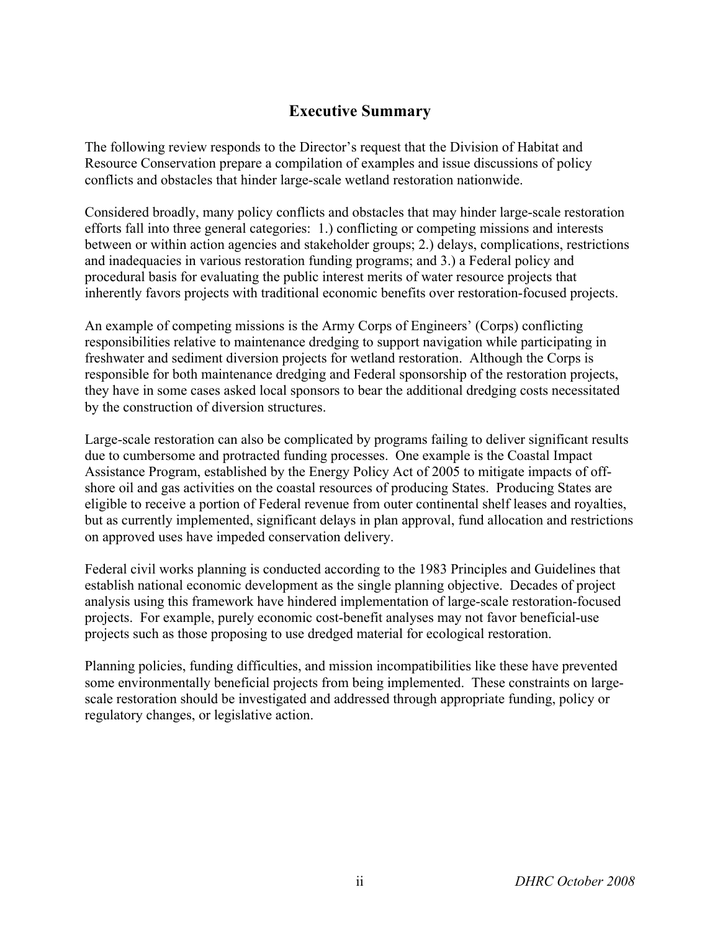# **Executive Summary**

The following review responds to the Director's request that the Division of Habitat and Resource Conservation prepare a compilation of examples and issue discussions of policy conflicts and obstacles that hinder large-scale wetland restoration nationwide.

Considered broadly, many policy conflicts and obstacles that may hinder large-scale restoration efforts fall into three general categories: 1.) conflicting or competing missions and interests between or within action agencies and stakeholder groups; 2.) delays, complications, restrictions and inadequacies in various restoration funding programs; and 3.) a Federal policy and procedural basis for evaluating the public interest merits of water resource projects that inherently favors projects with traditional economic benefits over restoration-focused projects.

An example of competing missions is the Army Corps of Engineers' (Corps) conflicting responsibilities relative to maintenance dredging to support navigation while participating in freshwater and sediment diversion projects for wetland restoration. Although the Corps is responsible for both maintenance dredging and Federal sponsorship of the restoration projects, they have in some cases asked local sponsors to bear the additional dredging costs necessitated by the construction of diversion structures.

Large-scale restoration can also be complicated by programs failing to deliver significant results due to cumbersome and protracted funding processes. One example is the Coastal Impact Assistance Program, established by the Energy Policy Act of 2005 to mitigate impacts of offshore oil and gas activities on the coastal resources of producing States. Producing States are eligible to receive a portion of Federal revenue from outer continental shelf leases and royalties, but as currently implemented, significant delays in plan approval, fund allocation and restrictions on approved uses have impeded conservation delivery.

Federal civil works planning is conducted according to the 1983 Principles and Guidelines that establish national economic development as the single planning objective. Decades of project analysis using this framework have hindered implementation of large-scale restoration-focused projects. For example, purely economic cost-benefit analyses may not favor beneficial-use projects such as those proposing to use dredged material for ecological restoration.

Planning policies, funding difficulties, and mission incompatibilities like these have prevented some environmentally beneficial projects from being implemented. These constraints on largescale restoration should be investigated and addressed through appropriate funding, policy or regulatory changes, or legislative action.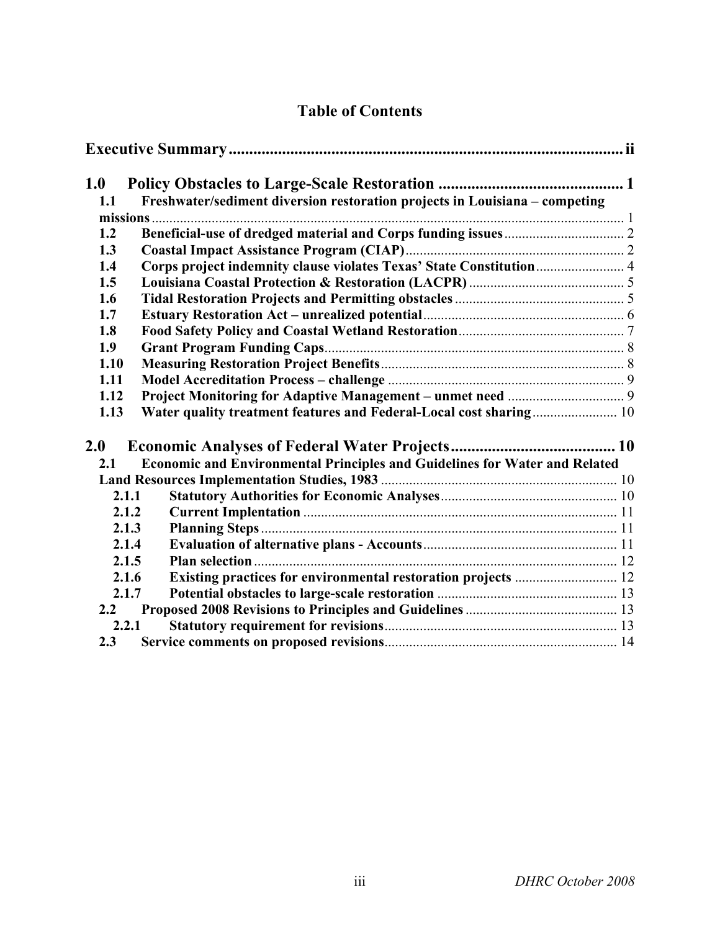# **Table of Contents**

| 1.0   |       |                                                                             |  |
|-------|-------|-----------------------------------------------------------------------------|--|
| 1.1   |       | Freshwater/sediment diversion restoration projects in Louisiana - competing |  |
|       |       |                                                                             |  |
| 1.2   |       |                                                                             |  |
| 1.3   |       |                                                                             |  |
| 1.4   |       | Corps project indemnity clause violates Texas' State Constitution 4         |  |
| 1.5   |       |                                                                             |  |
| 1.6   |       |                                                                             |  |
| 1.7   |       |                                                                             |  |
| 1.8   |       |                                                                             |  |
| 1.9   |       |                                                                             |  |
| 1.10  |       |                                                                             |  |
| 1.11  |       |                                                                             |  |
| 1.12  |       |                                                                             |  |
| 1.13  |       |                                                                             |  |
|       |       |                                                                             |  |
| 2.0   |       |                                                                             |  |
| 2.1   |       | Economic and Environmental Principles and Guidelines for Water and Related  |  |
|       |       |                                                                             |  |
|       | 2.1.1 |                                                                             |  |
|       | 2.1.2 |                                                                             |  |
| 2.1.3 |       |                                                                             |  |
| 2.1.4 |       |                                                                             |  |
|       | 2.1.5 |                                                                             |  |
|       | 2.1.6 |                                                                             |  |
|       | 2.1.7 |                                                                             |  |
| 2.2   |       |                                                                             |  |
|       | 2.2.1 |                                                                             |  |
| 2.3   |       |                                                                             |  |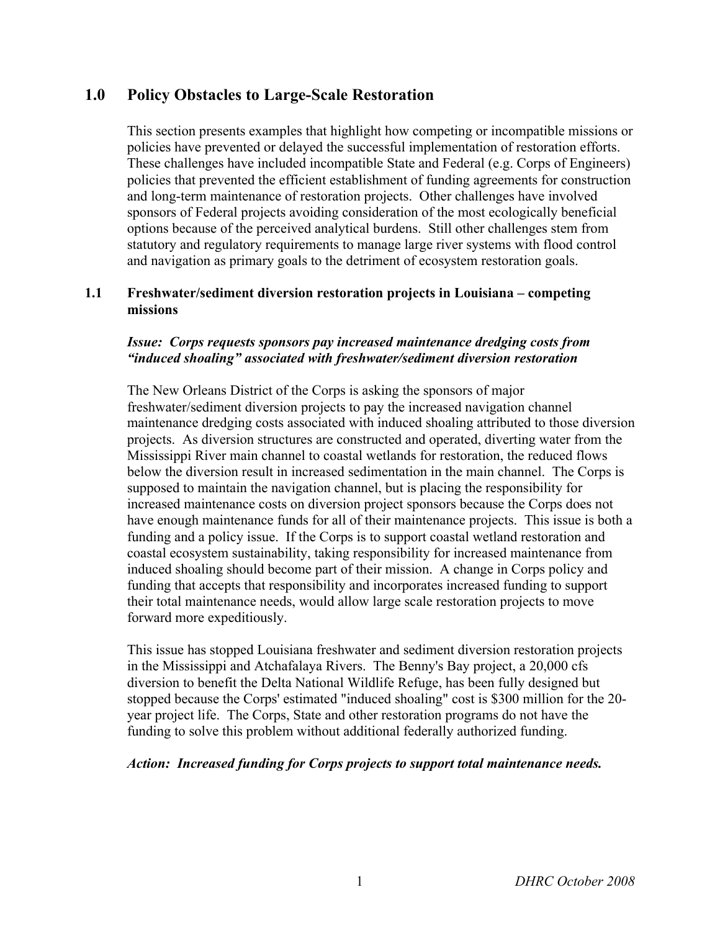# **1.0 Policy Obstacles to Large-Scale Restoration**

This section presents examples that highlight how competing or incompatible missions or policies have prevented or delayed the successful implementation of restoration efforts. These challenges have included incompatible State and Federal (e.g. Corps of Engineers) policies that prevented the efficient establishment of funding agreements for construction and long-term maintenance of restoration projects. Other challenges have involved sponsors of Federal projects avoiding consideration of the most ecologically beneficial options because of the perceived analytical burdens. Still other challenges stem from statutory and regulatory requirements to manage large river systems with flood control and navigation as primary goals to the detriment of ecosystem restoration goals.

#### **1.1 Freshwater/sediment diversion restoration projects in Louisiana – competing missions**

#### *Issue: Corps requests sponsors pay increased maintenance dredging costs from "induced shoaling" associated with freshwater/sediment diversion restoration*

The New Orleans District of the Corps is asking the sponsors of major freshwater/sediment diversion projects to pay the increased navigation channel maintenance dredging costs associated with induced shoaling attributed to those diversion projects. As diversion structures are constructed and operated, diverting water from the Mississippi River main channel to coastal wetlands for restoration, the reduced flows below the diversion result in increased sedimentation in the main channel. The Corps is supposed to maintain the navigation channel, but is placing the responsibility for increased maintenance costs on diversion project sponsors because the Corps does not have enough maintenance funds for all of their maintenance projects. This issue is both a funding and a policy issue. If the Corps is to support coastal wetland restoration and coastal ecosystem sustainability, taking responsibility for increased maintenance from induced shoaling should become part of their mission. A change in Corps policy and funding that accepts that responsibility and incorporates increased funding to support their total maintenance needs, would allow large scale restoration projects to move forward more expeditiously.

This issue has stopped Louisiana freshwater and sediment diversion restoration projects in the Mississippi and Atchafalaya Rivers. The Benny's Bay project, a 20,000 cfs diversion to benefit the Delta National Wildlife Refuge, has been fully designed but stopped because the Corps' estimated "induced shoaling" cost is \$300 million for the 20 year project life. The Corps, State and other restoration programs do not have the funding to solve this problem without additional federally authorized funding.

#### *Action: Increased funding for Corps projects to support total maintenance needs.*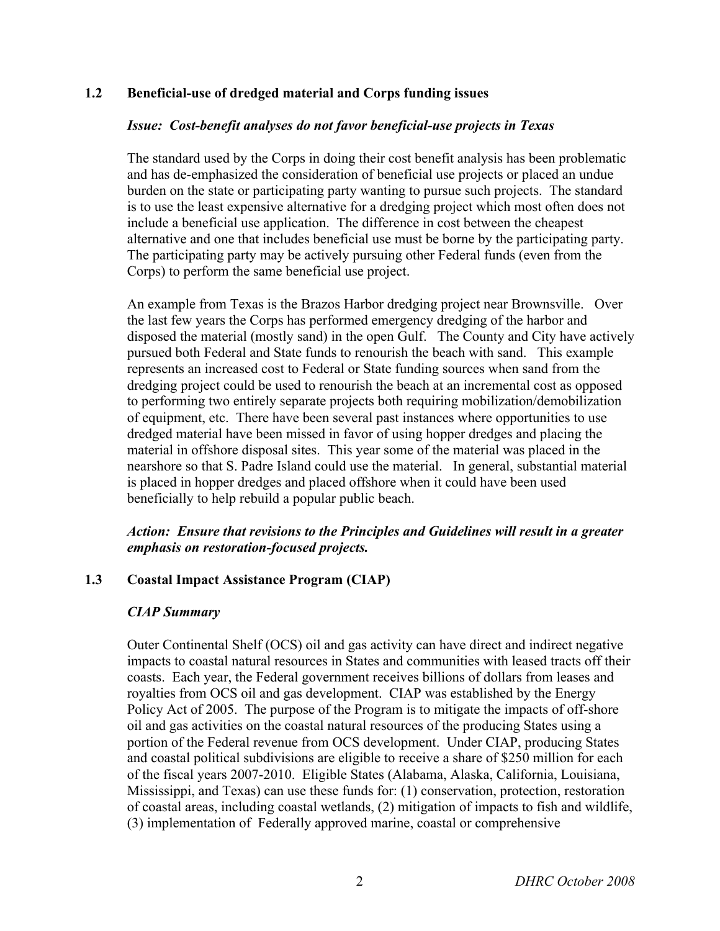# **1.2 Beneficial-use of dredged material and Corps funding issues**

#### *Issue: Cost-benefit analyses do not favor beneficial-use projects in Texas*

The standard used by the Corps in doing their cost benefit analysis has been problematic and has de-emphasized the consideration of beneficial use projects or placed an undue burden on the state or participating party wanting to pursue such projects. The standard is to use the least expensive alternative for a dredging project which most often does not include a beneficial use application. The difference in cost between the cheapest alternative and one that includes beneficial use must be borne by the participating party. The participating party may be actively pursuing other Federal funds (even from the Corps) to perform the same beneficial use project.

An example from Texas is the Brazos Harbor dredging project near Brownsville. Over the last few years the Corps has performed emergency dredging of the harbor and disposed the material (mostly sand) in the open Gulf. The County and City have actively pursued both Federal and State funds to renourish the beach with sand. This example represents an increased cost to Federal or State funding sources when sand from the dredging project could be used to renourish the beach at an incremental cost as opposed to performing two entirely separate projects both requiring mobilization/demobilization of equipment, etc. There have been several past instances where opportunities to use dredged material have been missed in favor of using hopper dredges and placing the material in offshore disposal sites. This year some of the material was placed in the nearshore so that S. Padre Island could use the material. In general, substantial material is placed in hopper dredges and placed offshore when it could have been used beneficially to help rebuild a popular public beach.

#### *Action: Ensure that revisions to the Principles and Guidelines will result in a greater emphasis on restoration-focused projects.*

#### **1.3 Coastal Impact Assistance Program (CIAP)**

#### *CIAP Summary*

Outer Continental Shelf (OCS) oil and gas activity can have direct and indirect negative impacts to coastal natural resources in States and communities with leased tracts off their coasts. Each year, the Federal government receives billions of dollars from leases and royalties from OCS oil and gas development. CIAP was established by the Energy Policy Act of 2005. The purpose of the Program is to mitigate the impacts of off-shore oil and gas activities on the coastal natural resources of the producing States using a portion of the Federal revenue from OCS development. Under CIAP, producing States and coastal political subdivisions are eligible to receive a share of \$250 million for each of the fiscal years 2007-2010. Eligible States (Alabama, Alaska, California, Louisiana, Mississippi, and Texas) can use these funds for: (1) conservation, protection, restoration of coastal areas, including coastal wetlands, (2) mitigation of impacts to fish and wildlife, (3) implementation of Federally approved marine, coastal or comprehensive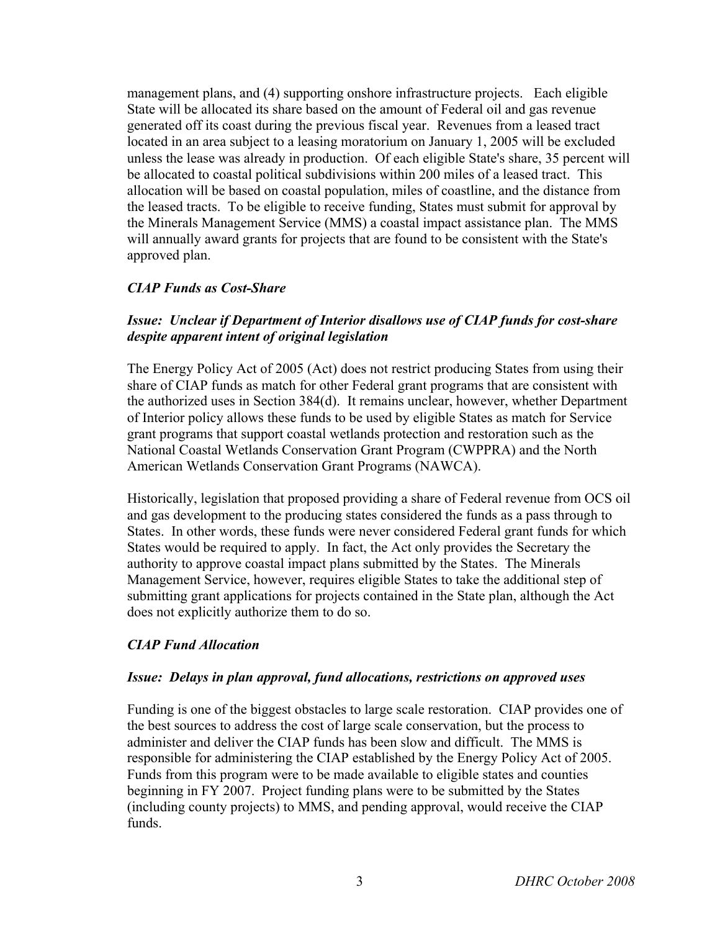management plans, and (4) supporting onshore infrastructure projects. Each eligible State will be allocated its share based on the amount of Federal oil and gas revenue generated off its coast during the previous fiscal year. Revenues from a leased tract located in an area subject to a leasing moratorium on January 1, 2005 will be excluded unless the lease was already in production. Of each eligible State's share, 35 percent will be allocated to coastal political subdivisions within 200 miles of a leased tract. This allocation will be based on coastal population, miles of coastline, and the distance from the leased tracts. To be eligible to receive funding, States must submit for approval by the Minerals Management Service (MMS) a coastal impact assistance plan. The MMS will annually award grants for projects that are found to be consistent with the State's approved plan.

# *CIAP Funds as Cost-Share*

# *Issue: Unclear if Department of Interior disallows use of CIAP funds for cost-share despite apparent intent of original legislation*

The Energy Policy Act of 2005 (Act) does not restrict producing States from using their share of CIAP funds as match for other Federal grant programs that are consistent with the authorized uses in Section 384(d). It remains unclear, however, whether Department of Interior policy allows these funds to be used by eligible States as match for Service grant programs that support coastal wetlands protection and restoration such as the National Coastal Wetlands Conservation Grant Program (CWPPRA) and the North American Wetlands Conservation Grant Programs (NAWCA).

Historically, legislation that proposed providing a share of Federal revenue from OCS oil and gas development to the producing states considered the funds as a pass through to States. In other words, these funds were never considered Federal grant funds for which States would be required to apply. In fact, the Act only provides the Secretary the authority to approve coastal impact plans submitted by the States. The Minerals Management Service, however, requires eligible States to take the additional step of submitting grant applications for projects contained in the State plan, although the Act does not explicitly authorize them to do so.

# *CIAP Fund Allocation*

#### *Issue: Delays in plan approval, fund allocations, restrictions on approved uses*

Funding is one of the biggest obstacles to large scale restoration. CIAP provides one of the best sources to address the cost of large scale conservation, but the process to administer and deliver the CIAP funds has been slow and difficult. The MMS is responsible for administering the CIAP established by the Energy Policy Act of 2005. Funds from this program were to be made available to eligible states and counties beginning in FY 2007. Project funding plans were to be submitted by the States (including county projects) to MMS, and pending approval, would receive the CIAP funds.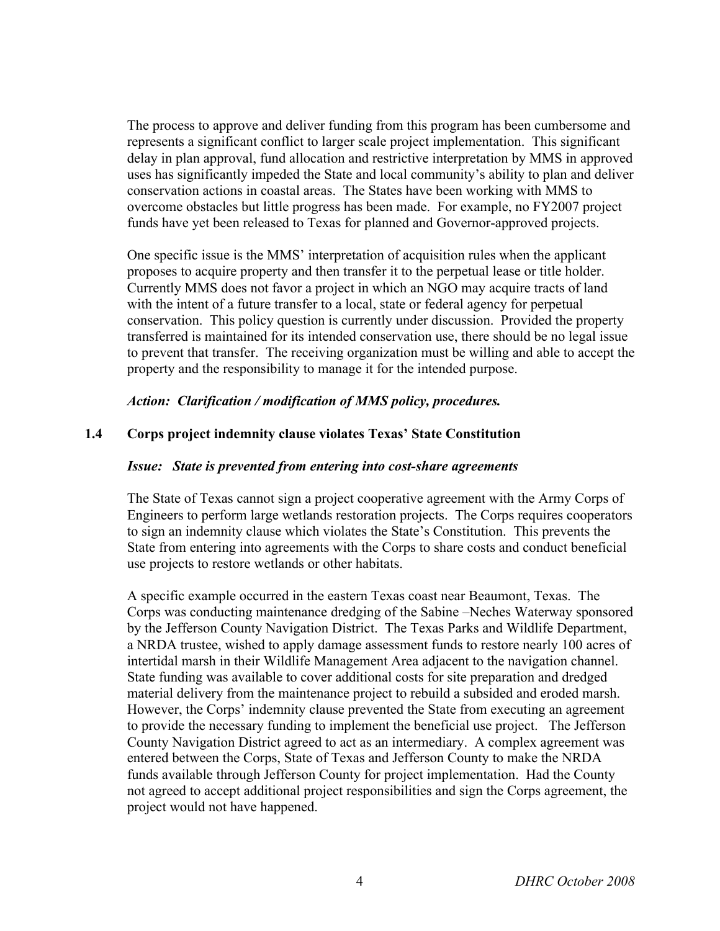The process to approve and deliver funding from this program has been cumbersome and represents a significant conflict to larger scale project implementation. This significant delay in plan approval, fund allocation and restrictive interpretation by MMS in approved uses has significantly impeded the State and local community's ability to plan and deliver conservation actions in coastal areas. The States have been working with MMS to overcome obstacles but little progress has been made. For example, no FY2007 project funds have yet been released to Texas for planned and Governor-approved projects.

One specific issue is the MMS' interpretation of acquisition rules when the applicant proposes to acquire property and then transfer it to the perpetual lease or title holder. Currently MMS does not favor a project in which an NGO may acquire tracts of land with the intent of a future transfer to a local, state or federal agency for perpetual conservation. This policy question is currently under discussion. Provided the property transferred is maintained for its intended conservation use, there should be no legal issue to prevent that transfer. The receiving organization must be willing and able to accept the property and the responsibility to manage it for the intended purpose.

*Action: Clarification / modification of MMS policy, procedures.*

#### **1.4 Corps project indemnity clause violates Texas' State Constitution**

#### *Issue: State is prevented from entering into cost-share agreements*

The State of Texas cannot sign a project cooperative agreement with the Army Corps of Engineers to perform large wetlands restoration projects. The Corps requires cooperators to sign an indemnity clause which violates the State's Constitution. This prevents the State from entering into agreements with the Corps to share costs and conduct beneficial use projects to restore wetlands or other habitats.

A specific example occurred in the eastern Texas coast near Beaumont, Texas. The Corps was conducting maintenance dredging of the Sabine –Neches Waterway sponsored by the Jefferson County Navigation District. The Texas Parks and Wildlife Department, a NRDA trustee, wished to apply damage assessment funds to restore nearly 100 acres of intertidal marsh in their Wildlife Management Area adjacent to the navigation channel. State funding was available to cover additional costs for site preparation and dredged material delivery from the maintenance project to rebuild a subsided and eroded marsh. However, the Corps' indemnity clause prevented the State from executing an agreement to provide the necessary funding to implement the beneficial use project. The Jefferson County Navigation District agreed to act as an intermediary. A complex agreement was entered between the Corps, State of Texas and Jefferson County to make the NRDA funds available through Jefferson County for project implementation. Had the County not agreed to accept additional project responsibilities and sign the Corps agreement, the project would not have happened.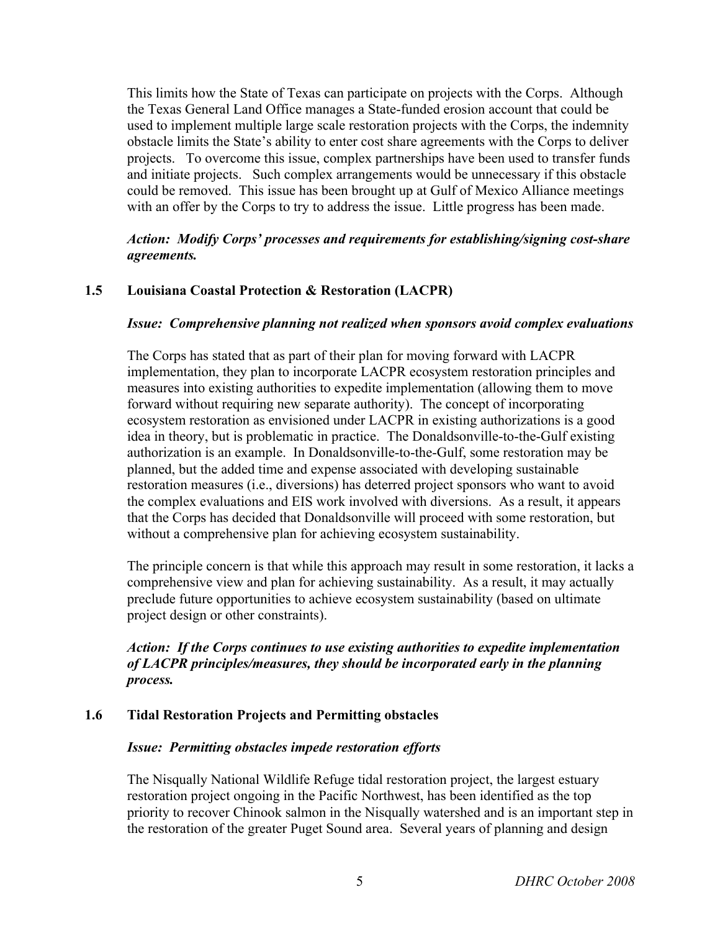This limits how the State of Texas can participate on projects with the Corps. Although the Texas General Land Office manages a State-funded erosion account that could be used to implement multiple large scale restoration projects with the Corps, the indemnity obstacle limits the State's ability to enter cost share agreements with the Corps to deliver projects. To overcome this issue, complex partnerships have been used to transfer funds and initiate projects. Such complex arrangements would be unnecessary if this obstacle could be removed. This issue has been brought up at Gulf of Mexico Alliance meetings with an offer by the Corps to try to address the issue. Little progress has been made.

#### *Action: Modify Corps' processes and requirements for establishing/signing cost-share agreements.*

# **1.5 Louisiana Coastal Protection & Restoration (LACPR)**

#### *Issue: Comprehensive planning not realized when sponsors avoid complex evaluations*

The Corps has stated that as part of their plan for moving forward with LACPR implementation, they plan to incorporate LACPR ecosystem restoration principles and measures into existing authorities to expedite implementation (allowing them to move forward without requiring new separate authority). The concept of incorporating ecosystem restoration as envisioned under LACPR in existing authorizations is a good idea in theory, but is problematic in practice. The Donaldsonville-to-the-Gulf existing authorization is an example. In Donaldsonville-to-the-Gulf, some restoration may be planned, but the added time and expense associated with developing sustainable restoration measures (i.e., diversions) has deterred project sponsors who want to avoid the complex evaluations and EIS work involved with diversions. As a result, it appears that the Corps has decided that Donaldsonville will proceed with some restoration, but without a comprehensive plan for achieving ecosystem sustainability.

The principle concern is that while this approach may result in some restoration, it lacks a comprehensive view and plan for achieving sustainability. As a result, it may actually preclude future opportunities to achieve ecosystem sustainability (based on ultimate project design or other constraints).

# *Action: If the Corps continues to use existing authorities to expedite implementation of LACPR principles/measures, they should be incorporated early in the planning process.*

# **1.6 Tidal Restoration Projects and Permitting obstacles**

#### *Issue: Permitting obstacles impede restoration efforts*

The Nisqually National Wildlife Refuge tidal restoration project, the largest estuary restoration project ongoing in the Pacific Northwest, has been identified as the top priority to recover Chinook salmon in the Nisqually watershed and is an important step in the restoration of the greater Puget Sound area. Several years of planning and design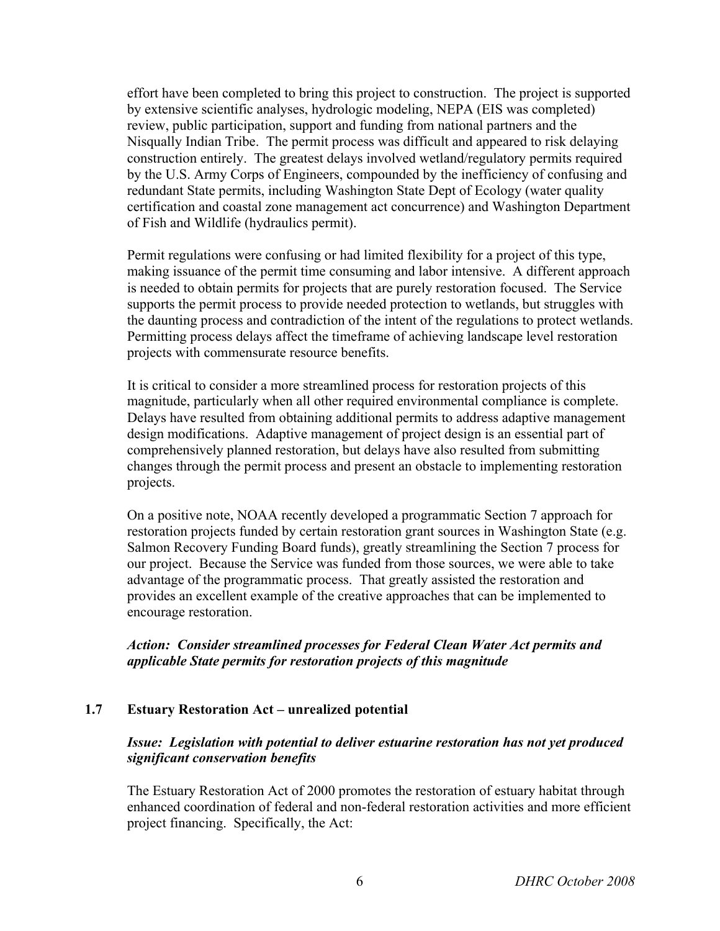effort have been completed to bring this project to construction. The project is supported by extensive scientific analyses, hydrologic modeling, NEPA (EIS was completed) review, public participation, support and funding from national partners and the Nisqually Indian Tribe. The permit process was difficult and appeared to risk delaying construction entirely. The greatest delays involved wetland/regulatory permits required by the U.S. Army Corps of Engineers, compounded by the inefficiency of confusing and redundant State permits, including Washington State Dept of Ecology (water quality certification and coastal zone management act concurrence) and Washington Department of Fish and Wildlife (hydraulics permit).

Permit regulations were confusing or had limited flexibility for a project of this type, making issuance of the permit time consuming and labor intensive. A different approach is needed to obtain permits for projects that are purely restoration focused. The Service supports the permit process to provide needed protection to wetlands, but struggles with the daunting process and contradiction of the intent of the regulations to protect wetlands. Permitting process delays affect the timeframe of achieving landscape level restoration projects with commensurate resource benefits.

It is critical to consider a more streamlined process for restoration projects of this magnitude, particularly when all other required environmental compliance is complete. Delays have resulted from obtaining additional permits to address adaptive management design modifications. Adaptive management of project design is an essential part of comprehensively planned restoration, but delays have also resulted from submitting changes through the permit process and present an obstacle to implementing restoration projects.

On a positive note, NOAA recently developed a programmatic Section 7 approach for restoration projects funded by certain restoration grant sources in Washington State (e.g. Salmon Recovery Funding Board funds), greatly streamlining the Section 7 process for our project. Because the Service was funded from those sources, we were able to take advantage of the programmatic process. That greatly assisted the restoration and provides an excellent example of the creative approaches that can be implemented to encourage restoration.

#### *Action: Consider streamlined processes for Federal Clean Water Act permits and applicable State permits for restoration projects of this magnitude*

#### **1.7 Estuary Restoration Act – unrealized potential**

#### *Issue: Legislation with potential to deliver estuarine restoration has not yet produced significant conservation benefits*

The Estuary Restoration Act of 2000 promotes the restoration of estuary habitat through enhanced coordination of federal and non-federal restoration activities and more efficient project financing. Specifically, the Act: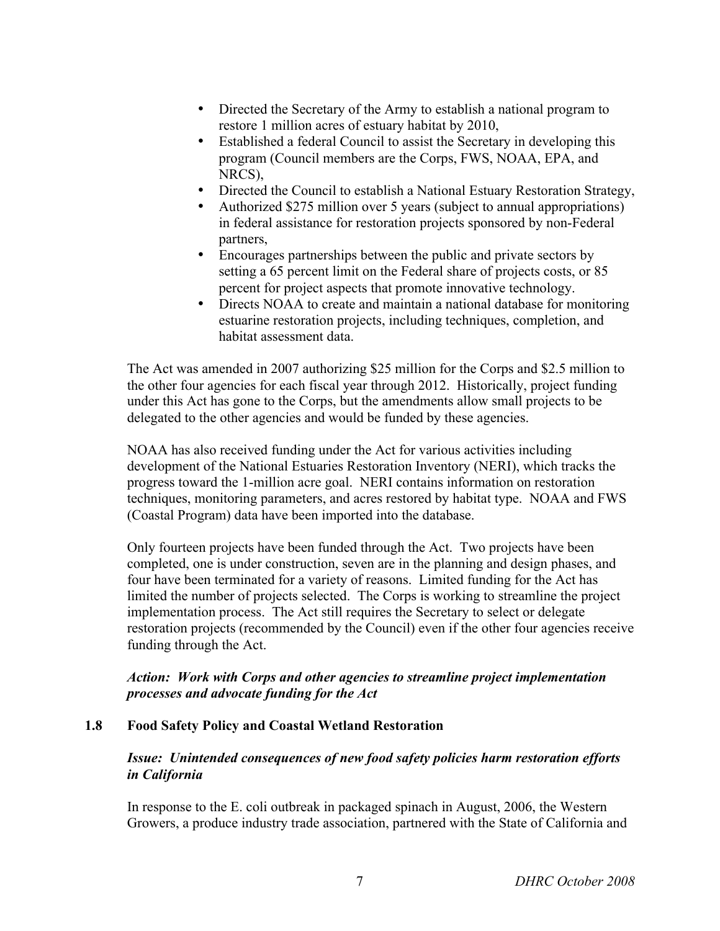- Directed the Secretary of the Army to establish a national program to restore 1 million acres of estuary habitat by 2010,
- Established a federal Council to assist the Secretary in developing this program (Council members are the Corps, FWS, NOAA, EPA, and NRCS),
- Directed the Council to establish a National Estuary Restoration Strategy,
- Authorized \$275 million over 5 years (subject to annual appropriations) in federal assistance for restoration projects sponsored by non-Federal partners,
- Encourages partnerships between the public and private sectors by setting a 65 percent limit on the Federal share of projects costs, or 85 percent for project aspects that promote innovative technology.
- Directs NOAA to create and maintain a national database for monitoring estuarine restoration projects, including techniques, completion, and habitat assessment data.

The Act was amended in 2007 authorizing \$25 million for the Corps and \$2.5 million to the other four agencies for each fiscal year through 2012. Historically, project funding under this Act has gone to the Corps, but the amendments allow small projects to be delegated to the other agencies and would be funded by these agencies.

NOAA has also received funding under the Act for various activities including development of the National Estuaries Restoration Inventory (NERI), which tracks the progress toward the 1-million acre goal. NERI contains information on restoration techniques, monitoring parameters, and acres restored by habitat type. NOAA and FWS (Coastal Program) data have been imported into the database.

Only fourteen projects have been funded through the Act. Two projects have been completed, one is under construction, seven are in the planning and design phases, and four have been terminated for a variety of reasons. Limited funding for the Act has limited the number of projects selected. The Corps is working to streamline the project implementation process. The Act still requires the Secretary to select or delegate restoration projects (recommended by the Council) even if the other four agencies receive funding through the Act.

#### *Action: Work with Corps and other agencies to streamline project implementation processes and advocate funding for the Act*

#### **1.8 Food Safety Policy and Coastal Wetland Restoration**

#### *Issue: Unintended consequences of new food safety policies harm restoration efforts in California*

In response to the E. coli outbreak in packaged spinach in August, 2006, the Western Growers, a produce industry trade association, partnered with the State of California and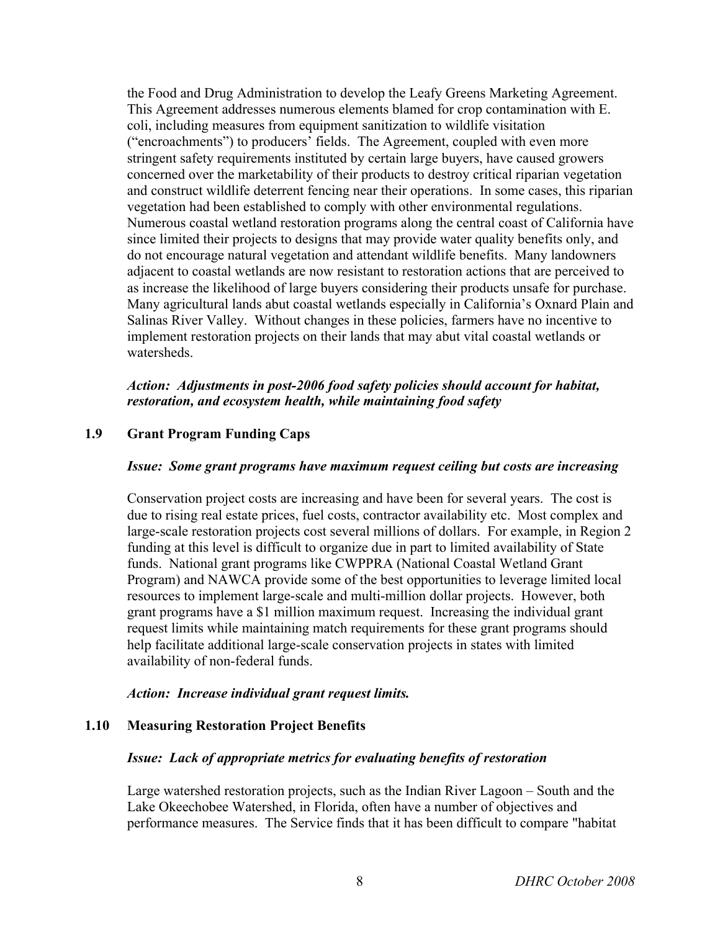the Food and Drug Administration to develop the Leafy Greens Marketing Agreement. This Agreement addresses numerous elements blamed for crop contamination with E. coli, including measures from equipment sanitization to wildlife visitation ("encroachments") to producers' fields. The Agreement, coupled with even more stringent safety requirements instituted by certain large buyers, have caused growers concerned over the marketability of their products to destroy critical riparian vegetation and construct wildlife deterrent fencing near their operations. In some cases, this riparian vegetation had been established to comply with other environmental regulations. Numerous coastal wetland restoration programs along the central coast of California have since limited their projects to designs that may provide water quality benefits only, and do not encourage natural vegetation and attendant wildlife benefits. Many landowners adjacent to coastal wetlands are now resistant to restoration actions that are perceived to as increase the likelihood of large buyers considering their products unsafe for purchase. Many agricultural lands abut coastal wetlands especially in California's Oxnard Plain and Salinas River Valley. Without changes in these policies, farmers have no incentive to implement restoration projects on their lands that may abut vital coastal wetlands or watersheds.

# *Action: Adjustments in post-2006 food safety policies should account for habitat, restoration, and ecosystem health, while maintaining food safety*

# **1.9 Grant Program Funding Caps**

#### *Issue: Some grant programs have maximum request ceiling but costs are increasing*

Conservation project costs are increasing and have been for several years. The cost is due to rising real estate prices, fuel costs, contractor availability etc. Most complex and large-scale restoration projects cost several millions of dollars. For example, in Region 2 funding at this level is difficult to organize due in part to limited availability of State funds. National grant programs like CWPPRA (National Coastal Wetland Grant Program) and NAWCA provide some of the best opportunities to leverage limited local resources to implement large-scale and multi-million dollar projects. However, both grant programs have a \$1 million maximum request. Increasing the individual grant request limits while maintaining match requirements for these grant programs should help facilitate additional large-scale conservation projects in states with limited availability of non-federal funds.

#### *Action: Increase individual grant request limits.*

#### **1.10 Measuring Restoration Project Benefits**

#### *Issue: Lack of appropriate metrics for evaluating benefits of restoration*

Large watershed restoration projects, such as the Indian River Lagoon – South and the Lake Okeechobee Watershed, in Florida, often have a number of objectives and performance measures. The Service finds that it has been difficult to compare "habitat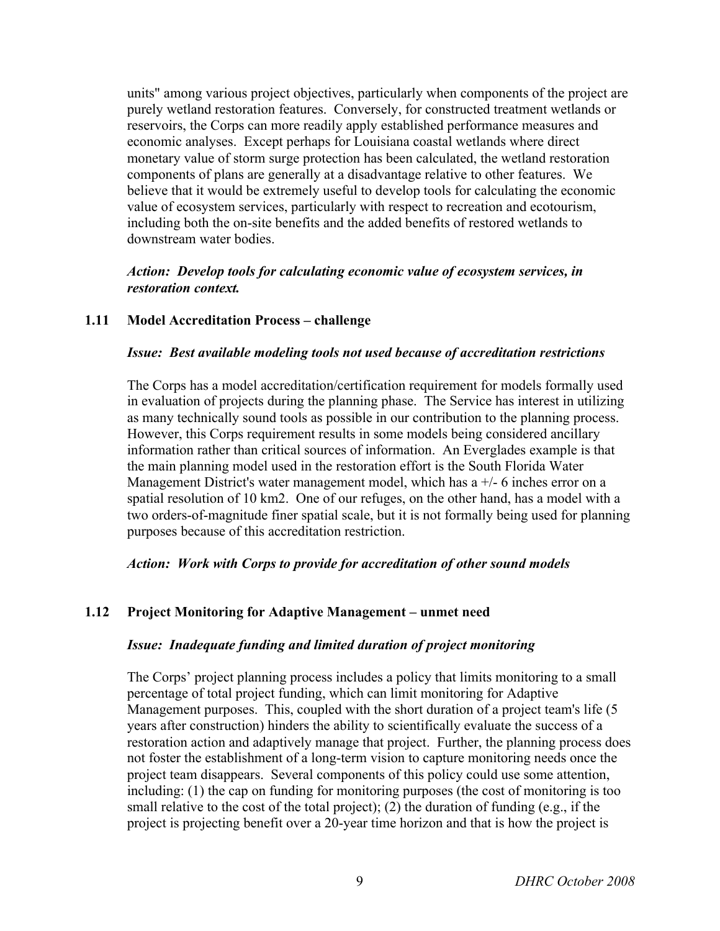units" among various project objectives, particularly when components of the project are purely wetland restoration features. Conversely, for constructed treatment wetlands or reservoirs, the Corps can more readily apply established performance measures and economic analyses. Except perhaps for Louisiana coastal wetlands where direct monetary value of storm surge protection has been calculated, the wetland restoration components of plans are generally at a disadvantage relative to other features. We believe that it would be extremely useful to develop tools for calculating the economic value of ecosystem services, particularly with respect to recreation and ecotourism, including both the on-site benefits and the added benefits of restored wetlands to downstream water bodies.

#### *Action: Develop tools for calculating economic value of ecosystem services, in restoration context.*

#### **1.11 Model Accreditation Process – challenge**

#### *Issue: Best available modeling tools not used because of accreditation restrictions*

The Corps has a model accreditation/certification requirement for models formally used in evaluation of projects during the planning phase. The Service has interest in utilizing as many technically sound tools as possible in our contribution to the planning process. However, this Corps requirement results in some models being considered ancillary information rather than critical sources of information. An Everglades example is that the main planning model used in the restoration effort is the South Florida Water Management District's water management model, which has  $a +/6$  inches error on a spatial resolution of 10 km2. One of our refuges, on the other hand, has a model with a two orders-of-magnitude finer spatial scale, but it is not formally being used for planning purposes because of this accreditation restriction.

#### *Action: Work with Corps to provide for accreditation of other sound models*

#### **1.12 Project Monitoring for Adaptive Management – unmet need**

#### *Issue: Inadequate funding and limited duration of project monitoring*

The Corps' project planning process includes a policy that limits monitoring to a small percentage of total project funding, which can limit monitoring for Adaptive Management purposes. This, coupled with the short duration of a project team's life (5 years after construction) hinders the ability to scientifically evaluate the success of a restoration action and adaptively manage that project. Further, the planning process does not foster the establishment of a long-term vision to capture monitoring needs once the project team disappears. Several components of this policy could use some attention, including: (1) the cap on funding for monitoring purposes (the cost of monitoring is too small relative to the cost of the total project); (2) the duration of funding (e.g., if the project is projecting benefit over a 20-year time horizon and that is how the project is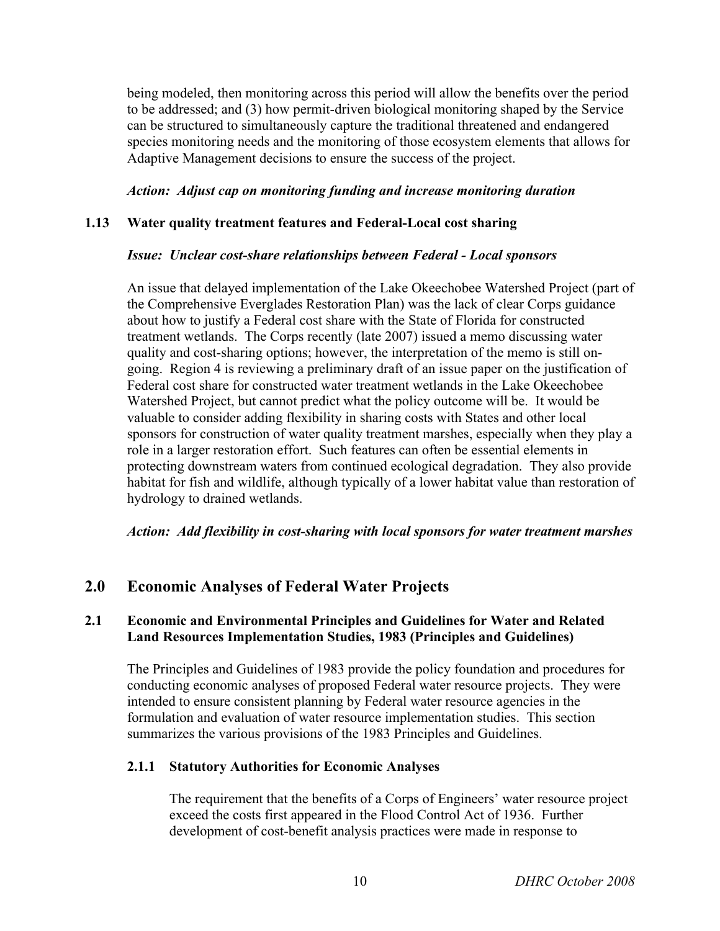being modeled, then monitoring across this period will allow the benefits over the period to be addressed; and (3) how permit-driven biological monitoring shaped by the Service can be structured to simultaneously capture the traditional threatened and endangered species monitoring needs and the monitoring of those ecosystem elements that allows for Adaptive Management decisions to ensure the success of the project.

#### *Action: Adjust cap on monitoring funding and increase monitoring duration*

#### **1.13 Water quality treatment features and Federal-Local cost sharing**

#### *Issue: Unclear cost-share relationships between Federal - Local sponsors*

An issue that delayed implementation of the Lake Okeechobee Watershed Project (part of the Comprehensive Everglades Restoration Plan) was the lack of clear Corps guidance about how to justify a Federal cost share with the State of Florida for constructed treatment wetlands. The Corps recently (late 2007) issued a memo discussing water quality and cost-sharing options; however, the interpretation of the memo is still ongoing. Region 4 is reviewing a preliminary draft of an issue paper on the justification of Federal cost share for constructed water treatment wetlands in the Lake Okeechobee Watershed Project, but cannot predict what the policy outcome will be. It would be valuable to consider adding flexibility in sharing costs with States and other local sponsors for construction of water quality treatment marshes, especially when they play a role in a larger restoration effort. Such features can often be essential elements in protecting downstream waters from continued ecological degradation. They also provide habitat for fish and wildlife, although typically of a lower habitat value than restoration of hydrology to drained wetlands.

*Action: Add flexibility in cost-sharing with local sponsors for water treatment marshes*

# **2.0 Economic Analyses of Federal Water Projects**

#### **2.1 Economic and Environmental Principles and Guidelines for Water and Related Land Resources Implementation Studies, 1983 (Principles and Guidelines)**

The Principles and Guidelines of 1983 provide the policy foundation and procedures for conducting economic analyses of proposed Federal water resource projects. They were intended to ensure consistent planning by Federal water resource agencies in the formulation and evaluation of water resource implementation studies. This section summarizes the various provisions of the 1983 Principles and Guidelines.

#### **2.1.1 Statutory Authorities for Economic Analyses**

The requirement that the benefits of a Corps of Engineers' water resource project exceed the costs first appeared in the Flood Control Act of 1936. Further development of cost-benefit analysis practices were made in response to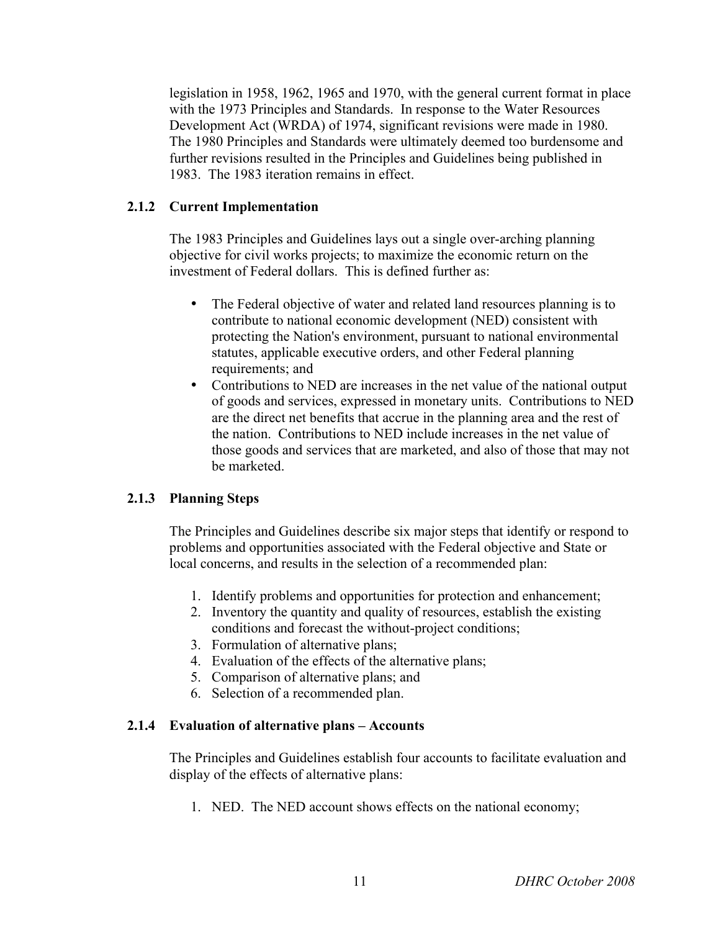legislation in 1958, 1962, 1965 and 1970, with the general current format in place with the 1973 Principles and Standards. In response to the Water Resources Development Act (WRDA) of 1974, significant revisions were made in 1980. The 1980 Principles and Standards were ultimately deemed too burdensome and further revisions resulted in the Principles and Guidelines being published in 1983. The 1983 iteration remains in effect.

#### **2.1.2 Current Implementation**

The 1983 Principles and Guidelines lays out a single over-arching planning objective for civil works projects; to maximize the economic return on the investment of Federal dollars. This is defined further as:

- The Federal objective of water and related land resources planning is to contribute to national economic development (NED) consistent with protecting the Nation's environment, pursuant to national environmental statutes, applicable executive orders, and other Federal planning requirements; and
- Contributions to NED are increases in the net value of the national output of goods and services, expressed in monetary units. Contributions to NED are the direct net benefits that accrue in the planning area and the rest of the nation. Contributions to NED include increases in the net value of those goods and services that are marketed, and also of those that may not be marketed.

#### **2.1.3 Planning Steps**

The Principles and Guidelines describe six major steps that identify or respond to problems and opportunities associated with the Federal objective and State or local concerns, and results in the selection of a recommended plan:

- 1. Identify problems and opportunities for protection and enhancement;
- 2. Inventory the quantity and quality of resources, establish the existing conditions and forecast the without-project conditions;
- 3. Formulation of alternative plans;
- 4. Evaluation of the effects of the alternative plans;
- 5. Comparison of alternative plans; and
- 6. Selection of a recommended plan.

#### **2.1.4 Evaluation of alternative plans – Accounts**

The Principles and Guidelines establish four accounts to facilitate evaluation and display of the effects of alternative plans:

1. NED. The NED account shows effects on the national economy;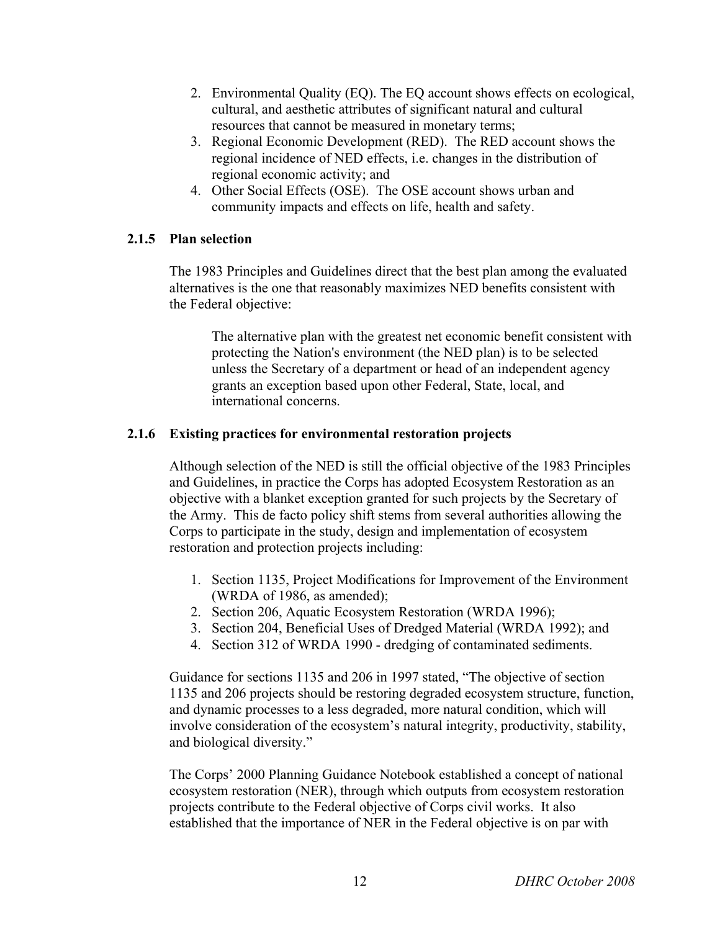- 2. Environmental Quality (EQ). The EQ account shows effects on ecological, cultural, and aesthetic attributes of significant natural and cultural resources that cannot be measured in monetary terms;
- 3. Regional Economic Development (RED). The RED account shows the regional incidence of NED effects, i.e. changes in the distribution of regional economic activity; and
- 4. Other Social Effects (OSE). The OSE account shows urban and community impacts and effects on life, health and safety.

# **2.1.5 Plan selection**

The 1983 Principles and Guidelines direct that the best plan among the evaluated alternatives is the one that reasonably maximizes NED benefits consistent with the Federal objective:

The alternative plan with the greatest net economic benefit consistent with protecting the Nation's environment (the NED plan) is to be selected unless the Secretary of a department or head of an independent agency grants an exception based upon other Federal, State, local, and international concerns.

# **2.1.6 Existing practices for environmental restoration projects**

Although selection of the NED is still the official objective of the 1983 Principles and Guidelines, in practice the Corps has adopted Ecosystem Restoration as an objective with a blanket exception granted for such projects by the Secretary of the Army. This de facto policy shift stems from several authorities allowing the Corps to participate in the study, design and implementation of ecosystem restoration and protection projects including:

- 1. Section 1135, Project Modifications for Improvement of the Environment (WRDA of 1986, as amended);
- 2. Section 206, Aquatic Ecosystem Restoration (WRDA 1996);
- 3. Section 204, Beneficial Uses of Dredged Material (WRDA 1992); and
- 4. Section 312 of WRDA 1990 dredging of contaminated sediments.

Guidance for sections 1135 and 206 in 1997 stated, "The objective of section 1135 and 206 projects should be restoring degraded ecosystem structure, function, and dynamic processes to a less degraded, more natural condition, which will involve consideration of the ecosystem's natural integrity, productivity, stability, and biological diversity."

The Corps' 2000 Planning Guidance Notebook established a concept of national ecosystem restoration (NER), through which outputs from ecosystem restoration projects contribute to the Federal objective of Corps civil works. It also established that the importance of NER in the Federal objective is on par with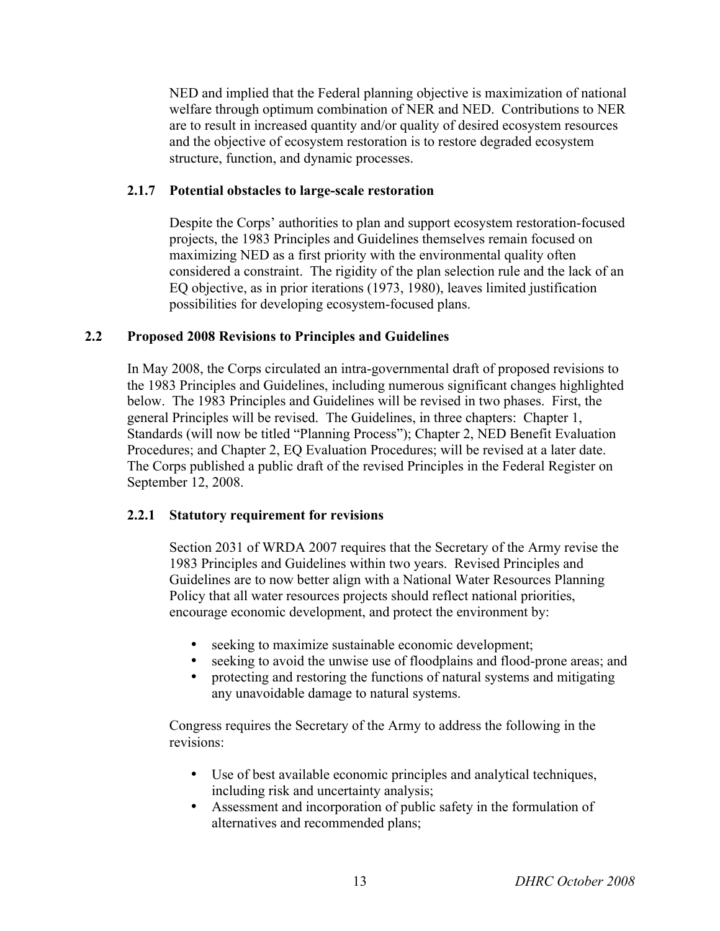NED and implied that the Federal planning objective is maximization of national welfare through optimum combination of NER and NED. Contributions to NER are to result in increased quantity and/or quality of desired ecosystem resources and the objective of ecosystem restoration is to restore degraded ecosystem structure, function, and dynamic processes.

#### **2.1.7 Potential obstacles to large-scale restoration**

Despite the Corps' authorities to plan and support ecosystem restoration-focused projects, the 1983 Principles and Guidelines themselves remain focused on maximizing NED as a first priority with the environmental quality often considered a constraint. The rigidity of the plan selection rule and the lack of an EQ objective, as in prior iterations (1973, 1980), leaves limited justification possibilities for developing ecosystem-focused plans.

#### **2.2 Proposed 2008 Revisions to Principles and Guidelines**

In May 2008, the Corps circulated an intra-governmental draft of proposed revisions to the 1983 Principles and Guidelines, including numerous significant changes highlighted below. The 1983 Principles and Guidelines will be revised in two phases. First, the general Principles will be revised. The Guidelines, in three chapters: Chapter 1, Standards (will now be titled "Planning Process"); Chapter 2, NED Benefit Evaluation Procedures; and Chapter 2, EQ Evaluation Procedures; will be revised at a later date. The Corps published a public draft of the revised Principles in the Federal Register on September 12, 2008.

#### **2.2.1 Statutory requirement for revisions**

Section 2031 of WRDA 2007 requires that the Secretary of the Army revise the 1983 Principles and Guidelines within two years. Revised Principles and Guidelines are to now better align with a National Water Resources Planning Policy that all water resources projects should reflect national priorities, encourage economic development, and protect the environment by:

- seeking to maximize sustainable economic development;
- seeking to avoid the unwise use of floodplains and flood-prone areas; and
- protecting and restoring the functions of natural systems and mitigating any unavoidable damage to natural systems.

Congress requires the Secretary of the Army to address the following in the revisions:

- Use of best available economic principles and analytical techniques, including risk and uncertainty analysis;
- Assessment and incorporation of public safety in the formulation of alternatives and recommended plans;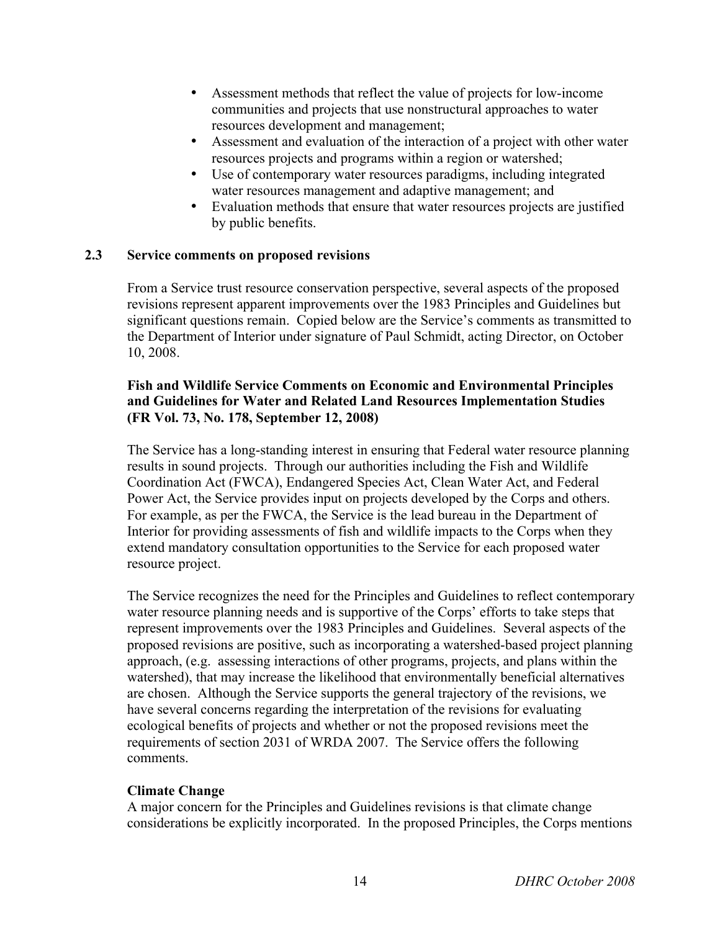- Assessment methods that reflect the value of projects for low-income communities and projects that use nonstructural approaches to water resources development and management;
- Assessment and evaluation of the interaction of a project with other water resources projects and programs within a region or watershed;
- Use of contemporary water resources paradigms, including integrated water resources management and adaptive management; and
- Evaluation methods that ensure that water resources projects are justified by public benefits.

#### **2.3 Service comments on proposed revisions**

From a Service trust resource conservation perspective, several aspects of the proposed revisions represent apparent improvements over the 1983 Principles and Guidelines but significant questions remain. Copied below are the Service's comments as transmitted to the Department of Interior under signature of Paul Schmidt, acting Director, on October 10, 2008.

# **Fish and Wildlife Service Comments on Economic and Environmental Principles and Guidelines for Water and Related Land Resources Implementation Studies (FR Vol. 73, No. 178, September 12, 2008)**

The Service has a long-standing interest in ensuring that Federal water resource planning results in sound projects. Through our authorities including the Fish and Wildlife Coordination Act (FWCA), Endangered Species Act, Clean Water Act, and Federal Power Act, the Service provides input on projects developed by the Corps and others. For example, as per the FWCA, the Service is the lead bureau in the Department of Interior for providing assessments of fish and wildlife impacts to the Corps when they extend mandatory consultation opportunities to the Service for each proposed water resource project.

The Service recognizes the need for the Principles and Guidelines to reflect contemporary water resource planning needs and is supportive of the Corps' efforts to take steps that represent improvements over the 1983 Principles and Guidelines. Several aspects of the proposed revisions are positive, such as incorporating a watershed-based project planning approach, (e.g. assessing interactions of other programs, projects, and plans within the watershed), that may increase the likelihood that environmentally beneficial alternatives are chosen. Although the Service supports the general trajectory of the revisions, we have several concerns regarding the interpretation of the revisions for evaluating ecological benefits of projects and whether or not the proposed revisions meet the requirements of section 2031 of WRDA 2007. The Service offers the following comments.

# **Climate Change**

A major concern for the Principles and Guidelines revisions is that climate change considerations be explicitly incorporated. In the proposed Principles, the Corps mentions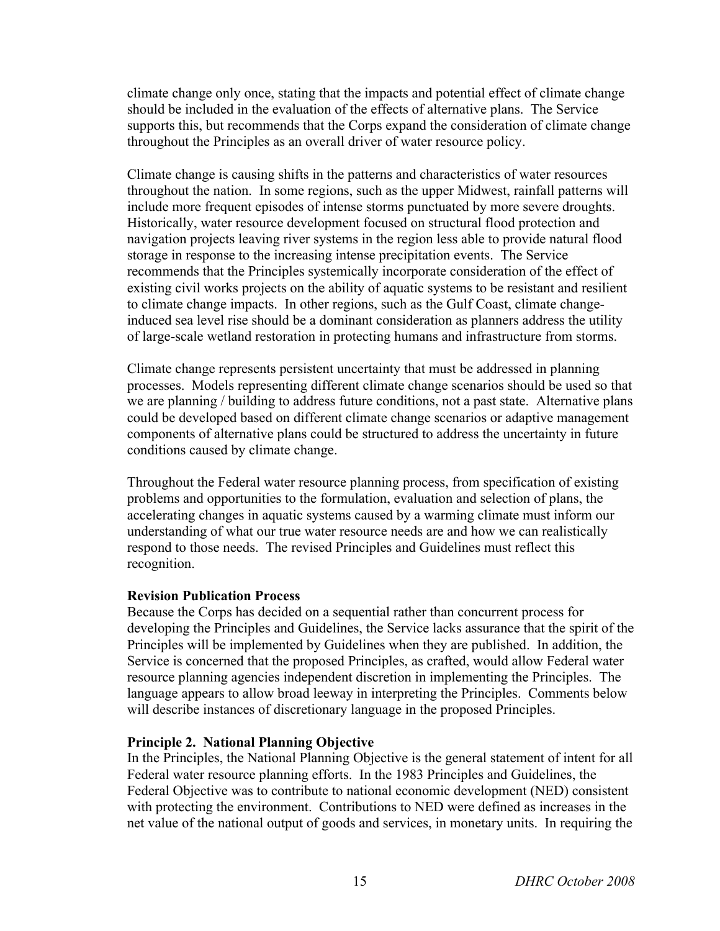climate change only once, stating that the impacts and potential effect of climate change should be included in the evaluation of the effects of alternative plans. The Service supports this, but recommends that the Corps expand the consideration of climate change throughout the Principles as an overall driver of water resource policy.

Climate change is causing shifts in the patterns and characteristics of water resources throughout the nation. In some regions, such as the upper Midwest, rainfall patterns will include more frequent episodes of intense storms punctuated by more severe droughts. Historically, water resource development focused on structural flood protection and navigation projects leaving river systems in the region less able to provide natural flood storage in response to the increasing intense precipitation events. The Service recommends that the Principles systemically incorporate consideration of the effect of existing civil works projects on the ability of aquatic systems to be resistant and resilient to climate change impacts. In other regions, such as the Gulf Coast, climate changeinduced sea level rise should be a dominant consideration as planners address the utility of large-scale wetland restoration in protecting humans and infrastructure from storms.

Climate change represents persistent uncertainty that must be addressed in planning processes. Models representing different climate change scenarios should be used so that we are planning / building to address future conditions, not a past state. Alternative plans could be developed based on different climate change scenarios or adaptive management components of alternative plans could be structured to address the uncertainty in future conditions caused by climate change.

Throughout the Federal water resource planning process, from specification of existing problems and opportunities to the formulation, evaluation and selection of plans, the accelerating changes in aquatic systems caused by a warming climate must inform our understanding of what our true water resource needs are and how we can realistically respond to those needs. The revised Principles and Guidelines must reflect this recognition.

#### **Revision Publication Process**

Because the Corps has decided on a sequential rather than concurrent process for developing the Principles and Guidelines, the Service lacks assurance that the spirit of the Principles will be implemented by Guidelines when they are published. In addition, the Service is concerned that the proposed Principles, as crafted, would allow Federal water resource planning agencies independent discretion in implementing the Principles. The language appears to allow broad leeway in interpreting the Principles. Comments below will describe instances of discretionary language in the proposed Principles.

#### **Principle 2. National Planning Objective**

In the Principles, the National Planning Objective is the general statement of intent for all Federal water resource planning efforts. In the 1983 Principles and Guidelines, the Federal Objective was to contribute to national economic development (NED) consistent with protecting the environment. Contributions to NED were defined as increases in the net value of the national output of goods and services, in monetary units. In requiring the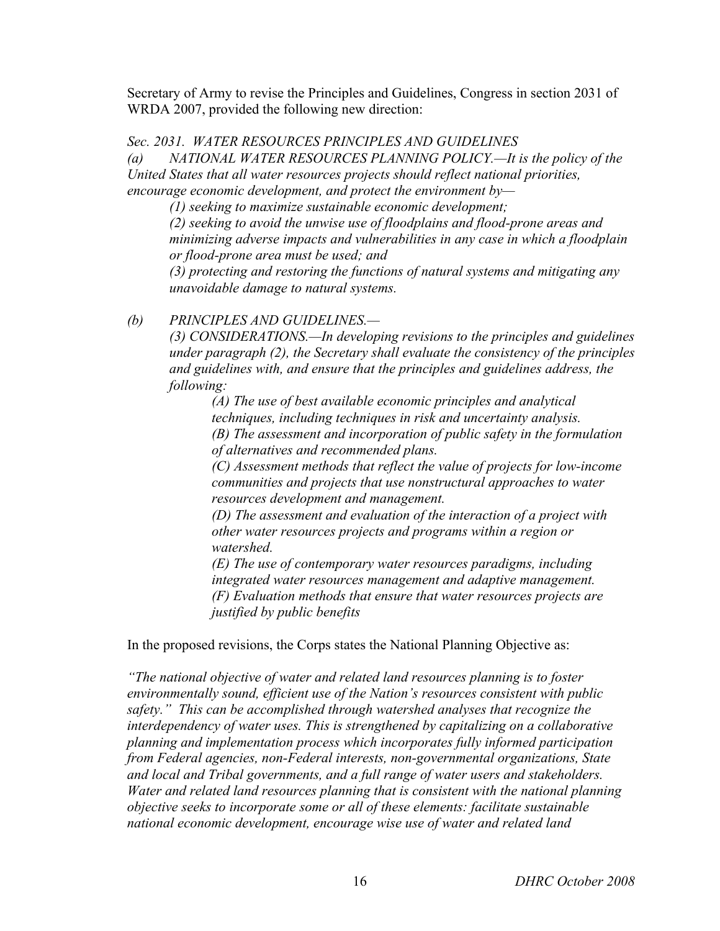Secretary of Army to revise the Principles and Guidelines, Congress in section 2031 of WRDA 2007, provided the following new direction:

*Sec. 2031. WATER RESOURCES PRINCIPLES AND GUIDELINES* 

*(a) NATIONAL WATER RESOURCES PLANNING POLICY.—It is the policy of the United States that all water resources projects should reflect national priorities, encourage economic development, and protect the environment by—*

*(1) seeking to maximize sustainable economic development;*

*(2) seeking to avoid the unwise use of floodplains and flood-prone areas and minimizing adverse impacts and vulnerabilities in any case in which a floodplain or flood-prone area must be used; and*

*(3) protecting and restoring the functions of natural systems and mitigating any unavoidable damage to natural systems.*

# *(b) PRINCIPLES AND GUIDELINES.—*

*(3) CONSIDERATIONS.—In developing revisions to the principles and guidelines under paragraph (2), the Secretary shall evaluate the consistency of the principles and guidelines with, and ensure that the principles and guidelines address, the following:*

*(A) The use of best available economic principles and analytical techniques, including techniques in risk and uncertainty analysis. (B) The assessment and incorporation of public safety in the formulation of alternatives and recommended plans.*

*(C) Assessment methods that reflect the value of projects for low-income communities and projects that use nonstructural approaches to water resources development and management.*

*(D) The assessment and evaluation of the interaction of a project with other water resources projects and programs within a region or watershed.*

*(E) The use of contemporary water resources paradigms, including integrated water resources management and adaptive management. (F) Evaluation methods that ensure that water resources projects are justified by public benefits*

In the proposed revisions, the Corps states the National Planning Objective as:

*"The national objective of water and related land resources planning is to foster environmentally sound, efficient use of the Nation's resources consistent with public safety." This can be accomplished through watershed analyses that recognize the interdependency of water uses. This is strengthened by capitalizing on a collaborative planning and implementation process which incorporates fully informed participation from Federal agencies, non-Federal interests, non-governmental organizations, State and local and Tribal governments, and a full range of water users and stakeholders. Water and related land resources planning that is consistent with the national planning objective seeks to incorporate some or all of these elements: facilitate sustainable national economic development, encourage wise use of water and related land*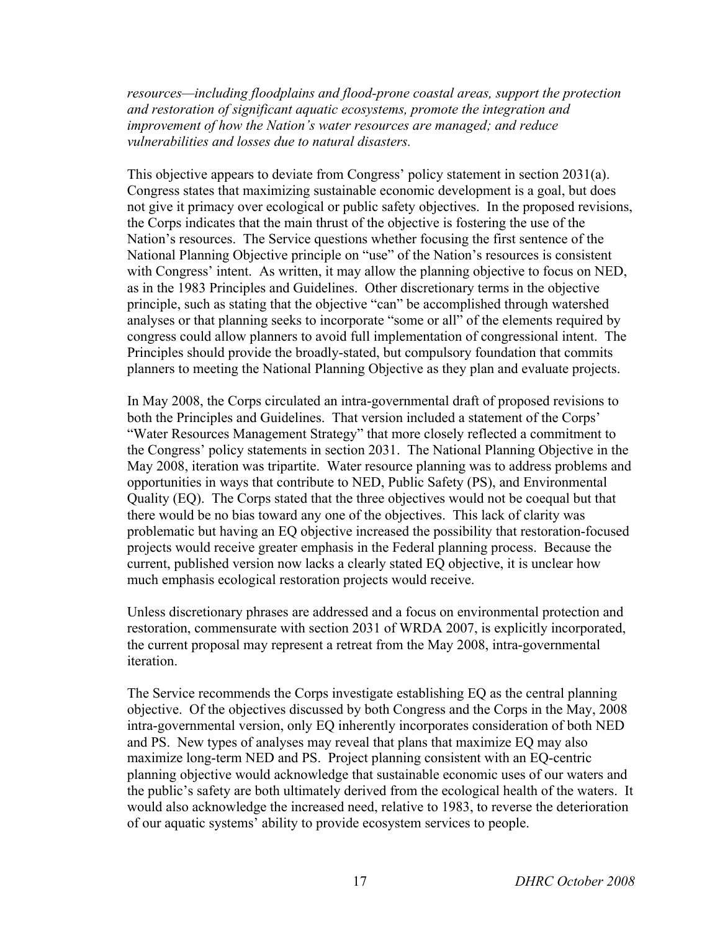*resources—including floodplains and flood-prone coastal areas, support the protection and restoration of significant aquatic ecosystems, promote the integration and improvement of how the Nation's water resources are managed; and reduce vulnerabilities and losses due to natural disasters.*

This objective appears to deviate from Congress' policy statement in section 2031(a). Congress states that maximizing sustainable economic development is a goal, but does not give it primacy over ecological or public safety objectives. In the proposed revisions, the Corps indicates that the main thrust of the objective is fostering the use of the Nation's resources. The Service questions whether focusing the first sentence of the National Planning Objective principle on "use" of the Nation's resources is consistent with Congress' intent. As written, it may allow the planning objective to focus on NED, as in the 1983 Principles and Guidelines. Other discretionary terms in the objective principle, such as stating that the objective "can" be accomplished through watershed analyses or that planning seeks to incorporate "some or all" of the elements required by congress could allow planners to avoid full implementation of congressional intent. The Principles should provide the broadly-stated, but compulsory foundation that commits planners to meeting the National Planning Objective as they plan and evaluate projects.

In May 2008, the Corps circulated an intra-governmental draft of proposed revisions to both the Principles and Guidelines. That version included a statement of the Corps' "Water Resources Management Strategy" that more closely reflected a commitment to the Congress' policy statements in section 2031. The National Planning Objective in the May 2008, iteration was tripartite. Water resource planning was to address problems and opportunities in ways that contribute to NED, Public Safety (PS), and Environmental Quality (EQ). The Corps stated that the three objectives would not be coequal but that there would be no bias toward any one of the objectives. This lack of clarity was problematic but having an EQ objective increased the possibility that restoration-focused projects would receive greater emphasis in the Federal planning process. Because the current, published version now lacks a clearly stated EQ objective, it is unclear how much emphasis ecological restoration projects would receive.

Unless discretionary phrases are addressed and a focus on environmental protection and restoration, commensurate with section 2031 of WRDA 2007, is explicitly incorporated, the current proposal may represent a retreat from the May 2008, intra-governmental iteration.

The Service recommends the Corps investigate establishing EQ as the central planning objective. Of the objectives discussed by both Congress and the Corps in the May, 2008 intra-governmental version, only EQ inherently incorporates consideration of both NED and PS. New types of analyses may reveal that plans that maximize EQ may also maximize long-term NED and PS. Project planning consistent with an EQ-centric planning objective would acknowledge that sustainable economic uses of our waters and the public's safety are both ultimately derived from the ecological health of the waters. It would also acknowledge the increased need, relative to 1983, to reverse the deterioration of our aquatic systems' ability to provide ecosystem services to people.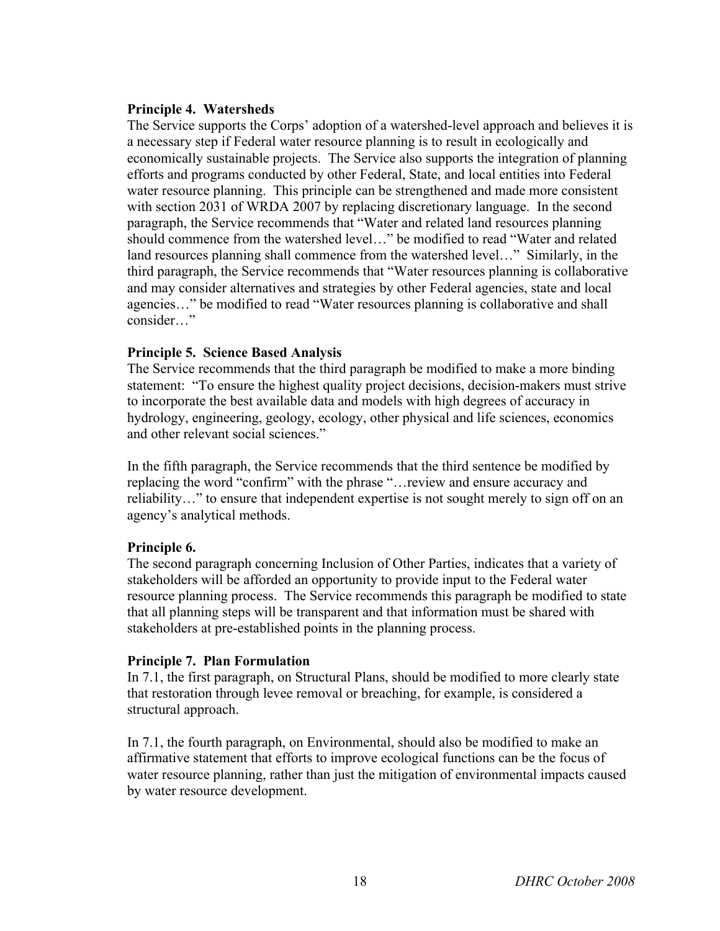#### **Principle 4. Watersheds**

The Service supports the Corps' adoption of a watershed-level approach and believes it is a necessary step if Federal water resource planning is to result in ecologically and economically sustainable projects. The Service also supports the integration of planning efforts and programs conducted by other Federal, State, and local entities into Federal water resource planning. This principle can be strengthened and made more consistent with section 2031 of WRDA 2007 by replacing discretionary language. In the second paragraph, the Service recommends that "Water and related land resources planning should commence from the watershed level…" be modified to read "Water and related land resources planning shall commence from the watershed level…" Similarly, in the third paragraph, the Service recommends that "Water resources planning is collaborative and may consider alternatives and strategies by other Federal agencies, state and local agencies…" be modified to read "Water resources planning is collaborative and shall consider…"

#### **Principle 5. Science Based Analysis**

The Service recommends that the third paragraph be modified to make a more binding statement: "To ensure the highest quality project decisions, decision-makers must strive to incorporate the best available data and models with high degrees of accuracy in hydrology, engineering, geology, ecology, other physical and life sciences, economics and other relevant social sciences."

In the fifth paragraph, the Service recommends that the third sentence be modified by replacing the word "confirm" with the phrase "…review and ensure accuracy and reliability…" to ensure that independent expertise is not sought merely to sign off on an agency's analytical methods.

# **Principle 6.**

The second paragraph concerning Inclusion of Other Parties, indicates that a variety of stakeholders will be afforded an opportunity to provide input to the Federal water resource planning process. The Service recommends this paragraph be modified to state that all planning steps will be transparent and that information must be shared with stakeholders at pre-established points in the planning process.

#### **Principle 7. Plan Formulation**

In 7.1, the first paragraph, on Structural Plans, should be modified to more clearly state that restoration through levee removal or breaching, for example, is considered a structural approach.

In 7.1, the fourth paragraph, on Environmental, should also be modified to make an affirmative statement that efforts to improve ecological functions can be the focus of water resource planning, rather than just the mitigation of environmental impacts caused by water resource development.